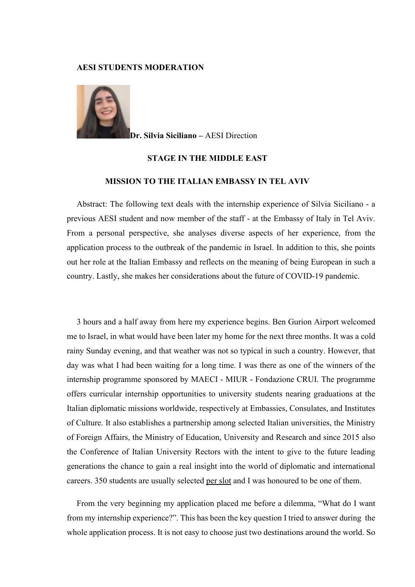## AESI STUDENTS MODERATION



Dr. Silvia Siciliano – AESI Direction

## STAGE IN THE MIDDLE EAST

## MISSION TO THE ITALIAN EMBASSY IN TEL AVIV

Abstract: The following text deals with the internship experience of Silvia Siciliano - a previous AESI student and now member of the staff - at the Embassy of Italy in Tel Aviv. From a personal perspective, she analyses diverse aspects of her experience, from the application process to the outbreak of the pandemic in Israel. In addition to this, she points out her role at the Italian Embassy and reflects on the meaning of being European in such a country. Lastly, she makes her considerations about the future of COVID-19 pandemic.

3 hours and a half away from here my experience begins. Ben Gurion Airport welcomed me to Israel, in what would have been later my home for the next three months. It was a cold rainy Sunday evening, and that weather was not so typical in such a country. However, that day was what I had been waiting for a long time. I was there as one of the winners of the internship programme sponsored by MAECI - MIUR - Fondazione CRUI. The programme offers curricular internship opportunities to university students nearing graduations at the Italian diplomatic missions worldwide, respectively at Embassies, Consulates, and Institutes of Culture. It also establishes a partnership among selected Italian universities, the Ministry of Foreign Affairs, the Ministry of Education, University and Research and since 2015 also the Conference of Italian University Rectors with the intent to give to the future leading generations the chance to gain a real insight into the world of diplomatic and international careers. 350 students are usually selected per slot and I was honoured to be one of them.

From the very beginning my application placed me before a dilemma, "What do I want from my internship experience?". This has been the key question I tried to answer during the whole application process. It is not easy to choose just two destinations around the world. So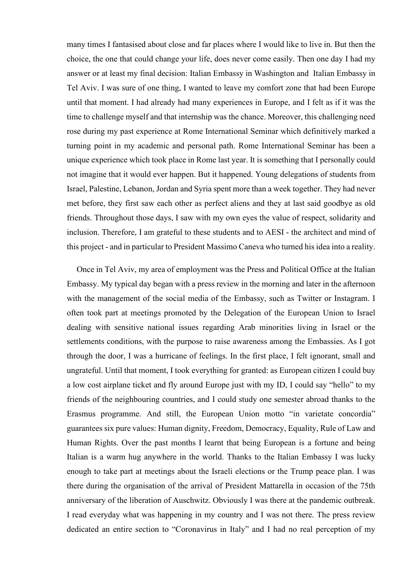many times I fantasised about close and far places where I would like to live in. But then the choice, the one that could change your life, does never come easily. Then one day I had my answer or at least my final decision: Italian Embassy in Washington and Italian Embassy in Tel Aviv. I was sure of one thing, I wanted to leave my comfort zone that had been Europe until that moment. I had already had many experiences in Europe, and I felt as if it was the time to challenge myself and that internship was the chance. Moreover, this challenging need rose during my past experience at Rome International Seminar which definitively marked a turning point in my academic and personal path. Rome International Seminar has been a unique experience which took place in Rome last year. It is something that I personally could not imagine that it would ever happen. But it happened. Young delegations of students from Israel, Palestine, Lebanon, Jordan and Syria spent more than a week together. They had never met before, they first saw each other as perfect aliens and they at last said goodbye as old friends. Throughout those days, I saw with my own eyes the value of respect, solidarity and inclusion. Therefore, I am grateful to these students and to AESI - the architect and mind of this project - and in particular to President Massimo Caneva who turned his idea into a reality.

Once in Tel Aviv, my area of employment was the Press and Political Office at the Italian Embassy. My typical day began with a press review in the morning and later in the afternoon with the management of the social media of the Embassy, such as Twitter or Instagram. I often took part at meetings promoted by the Delegation of the European Union to Israel dealing with sensitive national issues regarding Arab minorities living in Israel or the settlements conditions, with the purpose to raise awareness among the Embassies. As I got through the door, I was a hurricane of feelings. In the first place, I felt ignorant, small and ungrateful. Until that moment, I took everything for granted: as European citizen I could buy a low cost airplane ticket and fly around Europe just with my ID, I could say "hello" to my friends of the neighbouring countries, and I could study one semester abroad thanks to the Erasmus programme. And still, the European Union motto "in varietate concordia" guarantees six pure values: Human dignity, Freedom, Democracy, Equality, Rule of Law and Human Rights. Over the past months I learnt that being European is a fortune and being Italian is a warm hug anywhere in the world. Thanks to the Italian Embassy I was lucky enough to take part at meetings about the Israeli elections or the Trump peace plan. I was there during the organisation of the arrival of President Mattarella in occasion of the 75th anniversary of the liberation of Auschwitz. Obviously I was there at the pandemic outbreak. I read everyday what was happening in my country and I was not there. The press review dedicated an entire section to "Coronavirus in Italy" and I had no real perception of my